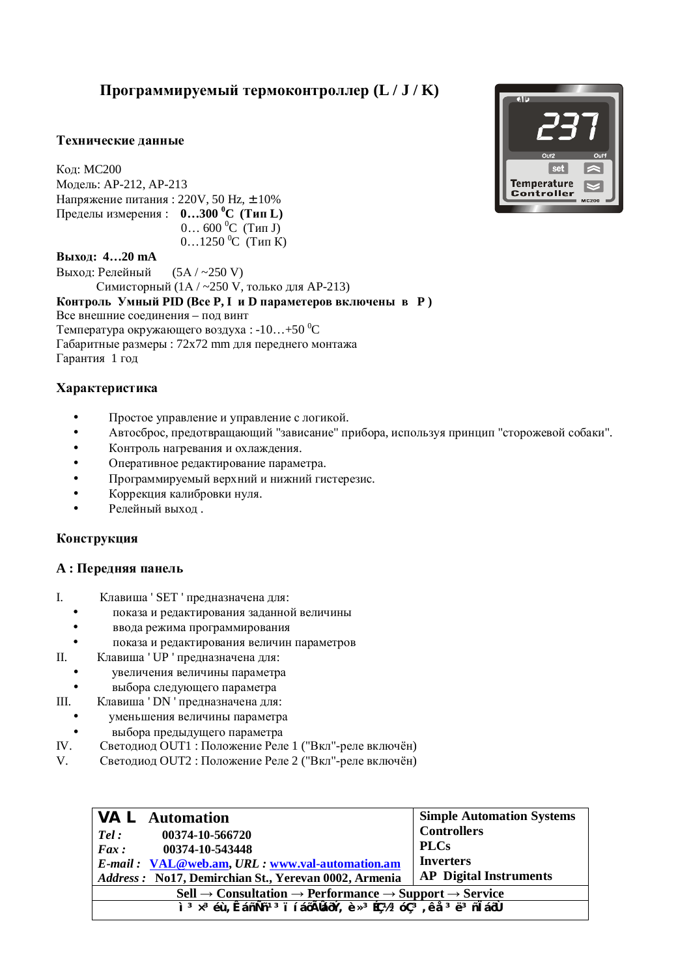# Программируемый термоконтроллер (L / **J** / **K**)

# Технические ланные

**Кол: MC200** Модель: АР-212, АР-213 Напряжение питания: 220V, 50 Hz,  $\pm$  10%  $\Pi$ ределы измерения :  $0...300$  °C (Тип L)  $0... 600 °C$  (Тип J) 0…1250  $^0C$  (Тип К)

### **ȼɵɯɨɞ: 4…20 mA**

Выход: Релейный (5A / ~250 V) Симисторный (1А / ~250 V, только для АР-213) **Контроль Умный PID (Все Р. І и D параметеров включены в Р)** Все внешние соелинения – под винт Температура окружающего воздуха:  $-10...+50$  °С Габаритные размеры : 72x72 mm для переднего монтажа Гарантия 1 год

# **Характеристика**

- Простое управление и управление с логикой.
- Автосброс, предотврашающий "зависание" прибора, используя принцип "сторожевой собаки".
- Контроль нагревания и охлаждения.
- Оперативное редактирование параметра.
- Программируемый верхний и нижний гистерезис.
- Коррекция калибровки нуля.
- Релейный выход.

### Конструкция

# $A:$  Передняя панель

- I. Клавиша ' SET ' предназначена для:
	- показа и редактирования заданной величины
	- ввода режима программирования
	- показа и релактирования величин параметров
- II. Клавиша ' UP ' предназначена для:
	- увеличения величины параметра
- выбора следующего параметра
- III. Клавиша ' DN ' предназначена для:
	- уменьшения величины параметра
- выбора предыдущего параметра
- IV. Светодиод OUT1 : Положение Реле 1 ("Вкл"-реле включён)
- V. Светодиод OUT2 : Положение Реле 2 ("Вкл"-реле включён)

| $\forall A \sqsubset$ Automation                                                                                                                                                                                                                                                 | <b>Simple Automation Systems</b> |  |
|----------------------------------------------------------------------------------------------------------------------------------------------------------------------------------------------------------------------------------------------------------------------------------|----------------------------------|--|
| 00374-10-566720<br>Tel:                                                                                                                                                                                                                                                          | <b>Controllers</b>               |  |
| 00374-10-543448<br>Fax:                                                                                                                                                                                                                                                          | <b>PLCs</b>                      |  |
| E-mail: VAL@web.am, URL: www.val-automation.am                                                                                                                                                                                                                                   | <b>Inverters</b>                 |  |
| Address: No17, Demirchian St., Yerevan 0002, Armenia                                                                                                                                                                                                                             | <b>AP</b> Digital Instruments    |  |
| $\text{Cell} \rightarrow \text{Consulation} \rightarrow \text{Performance} \rightarrow \text{Support} \rightarrow \text{Service}$                                                                                                                                                |                                  |  |
| $\frac{1}{2}$ $\frac{3}{2}$ $\times$ 3 $\acute{e}$ u, Êáñ $\acute{N}$ ñ $\frac{1}{3}$ ï í á $\ddot{0}$ Ã $\acute{0}$ áð $\acute{V}$ , è $\frac{3}{2}$ $\acute{C}$ $\frac{1}{2}$ $\frac{3}{2}$ $\frac{3}{2}$ $\ddot{c}$ $\frac{3}{2}$ $\ddot{c}$ $\ddot{c}$ $\ddot{c}$ $\ddot{c}$ |                                  |  |

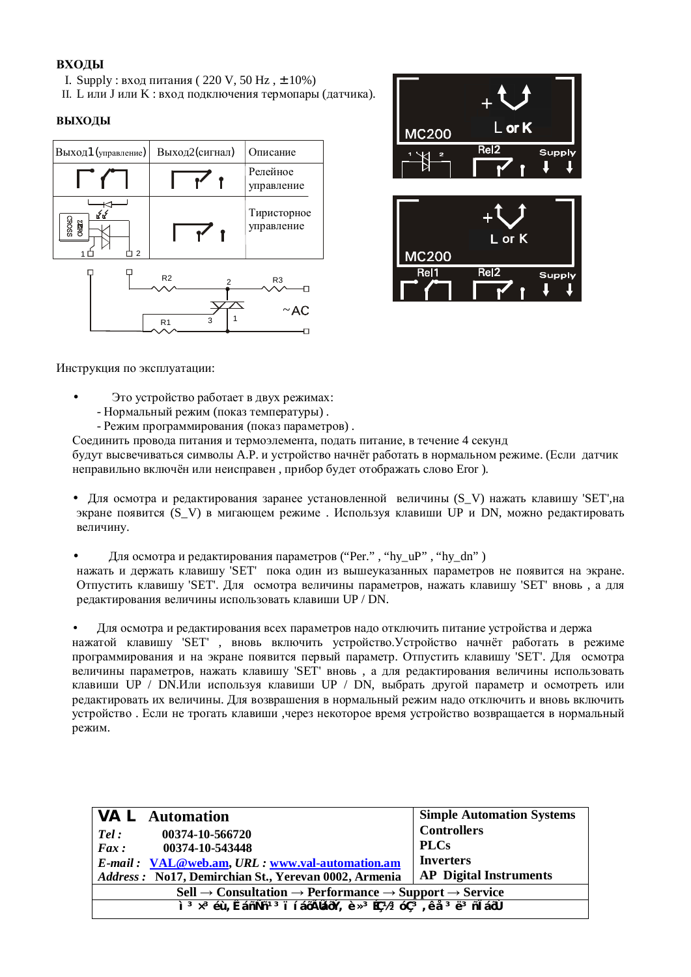# **ВХОДЫ**

- I. Supply : вход питания (220 V, 50 Hz,  $\pm$  10%)
- II. L или J или K : вход подключения термопары (датчика).

# **ВЫХОДЫ**





Инструкция по эксплуатации:

- Это устройство работает в двух режимах:
	- Нормальный режим (показ температуры).
	- Режим программирования (показ параметров).
- Соединить провода питания и термоэлемента, подать питание, в течение 4 секунд

будут высвечиваться символы А.Р. и устройство начнёт работать в нормальном режиме. (Если датчик неправильно включён или неисправен, прибор булет отображать слово Eror).

• Для осмотра и редактирования заранее установленной величины  $(S_V)$  нажать клавишу 'SET', на экране появится (S\_V) в мигающем режиме . Используя клавиши UP и DN, можно редактировать величину.

Для осмотра и редактирования параметров ("Per.", "hy\_uP", "hy\_dn")

нажать и держать клавишу 'SET' пока один из вышеуказанных параметров не появится на экране. Отпустить клавишу 'SET'. Для осмотра величины параметров, нажать клавишу 'SET' вновь, а для редактирования величины использовать клавиши UP / DN.

Для осмотра и редактирования всех параметров надо отключить питание устройства и держа нажатой клавишу 'SET', вновь включить устройство. Устройство начнёт работать в режиме программирования и на экране появится первый параметр. Отпустить клавишу 'SET'. Для осмотра величины параметров, нажать клавишу 'SET' вновь, а для редактирования величины использовать клавиши UP / DN.Или используя клавиши UP / DN, выбрать другой параметр и осмотреть или редактировать их величины. Для возврашения в нормальный режим надо отключить и вновь включить устройство. Если не трогать клавиши, через некоторое время устройство возвращается в нормальный режим.

| <b>NAL</b> Automation                                                                                                                                         | <b>Simple Automation Systems</b> |  |
|---------------------------------------------------------------------------------------------------------------------------------------------------------------|----------------------------------|--|
| 00374-10-566720<br>Tel:                                                                                                                                       | <b>Controllers</b>               |  |
| $\boldsymbol{F}$ ax:<br>00374-10-543448                                                                                                                       | <b>PLCs</b>                      |  |
| E-mail: VAL@web.am, URL: www.val-automation.am                                                                                                                | <b>Inverters</b>                 |  |
| Address: No17, Demirchian St., Yerevan 0002, Armenia                                                                                                          | <b>AP</b> Digital Instruments    |  |
| $\text{Cell} \rightarrow \text{Consulation} \rightarrow \text{Performance} \rightarrow \text{Support} \rightarrow \text{Service}$                             |                                  |  |
| ì <sup>3</sup> x <sup>3</sup> éù, ÊáñÑñ <sup>13</sup> ï í áōÃláōÝ, è x <sup>3</sup> Éǽ <sup>3</sup> óÇ <sup>3</sup> , ê å <sup>3</sup> ë <sup>3</sup> ñ l áōÙ |                                  |  |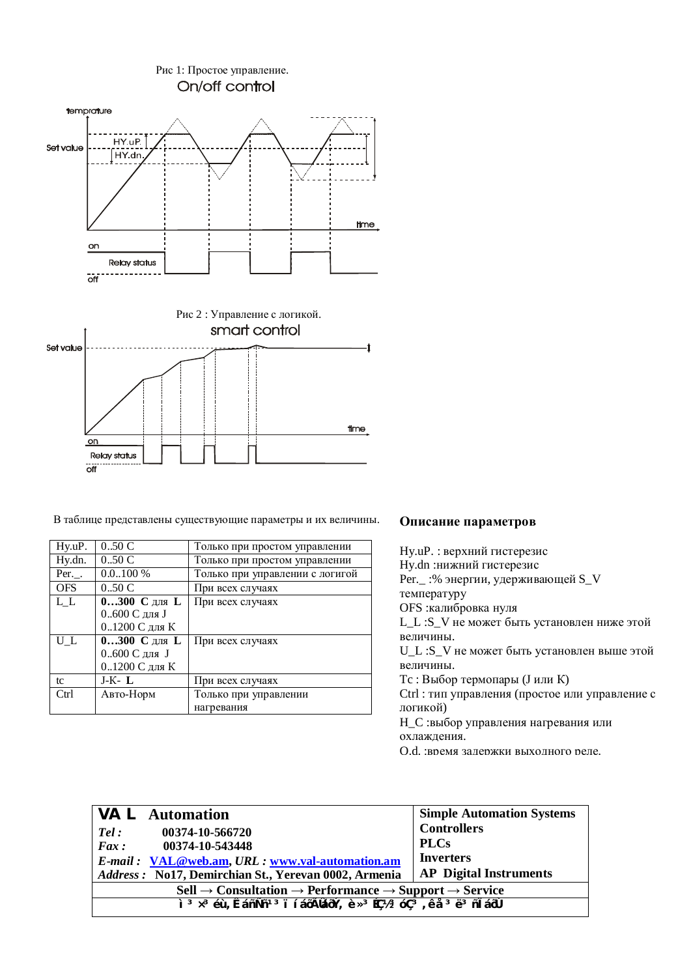

В таблице представлены существующие параметры и их величины. Описание параметров

| Hy.uP.     | 0.50C         | Только при простом управлении   |
|------------|---------------|---------------------------------|
| Hy.dn.     | 0.50C         | Только при простом управлении   |
| $Per.$ .   | $0.0100\%$    | Только при управлении с логигой |
| <b>OFS</b> | 0.50C         | При всех случаях                |
| L L        | $0300$ Сдля L | При всех случаях                |
|            | 0600 С для J  |                                 |
|            | 01200 С для К |                                 |
| U L        | $0300$ Сдля L | При всех случаях                |
|            | 0600 С для J  |                                 |
|            | 01200 С для К |                                 |
| tc         | $J-K L$       | При всех случаях                |
| Ctrl       | Авто-Норм     | Только при управлении           |
|            |               | нагревания                      |

Hy.uP. : верхний гистерезис Hy.dn :нижний гистерезис Рег.\_ :% энергии, удерживающей S\_V температуру OFS : калибровка нуля L\_L :S\_V не может быть установлен ниже этой величины. U\_L :S\_V не может быть установлен выше этой величины. Тс : Выбор термопары (J или K) Ctrl : тип управления (простое или управление с логикой) Н\_С :выбор управления нагревания или охлаждения. О.d. :время задержки выходного реле.

| $\forall A \sqsubset$ Automation                                                                                                                              | <b>Simple Automation Systems</b> |  |
|---------------------------------------------------------------------------------------------------------------------------------------------------------------|----------------------------------|--|
| 00374-10-566720<br>Tel:                                                                                                                                       | <b>Controllers</b>               |  |
| Fax:<br>00374-10-543448                                                                                                                                       | <b>PLCs</b>                      |  |
| E-mail: VAL@web.am, URL: www.val-automation.am                                                                                                                | <b>Inverters</b>                 |  |
| Address: No17, Demirchian St., Yerevan 0002, Armenia                                                                                                          | <b>AP</b> Digital Instruments    |  |
| $\text{Cell} \rightarrow \text{Consultation} \rightarrow \text{Performance} \rightarrow \text{Support} \rightarrow \text{Service}$                            |                                  |  |
| ì <sup>3</sup> x <sup>3</sup> éù, ÊáñÑñ <sup>13</sup> ï í áōÃláōÝ, è x <sup>3</sup> Éǽ <sup>3</sup> óÇ <sup>3</sup> , ê å <sup>3</sup> ë <sup>3</sup> ñ l áōÙ |                                  |  |